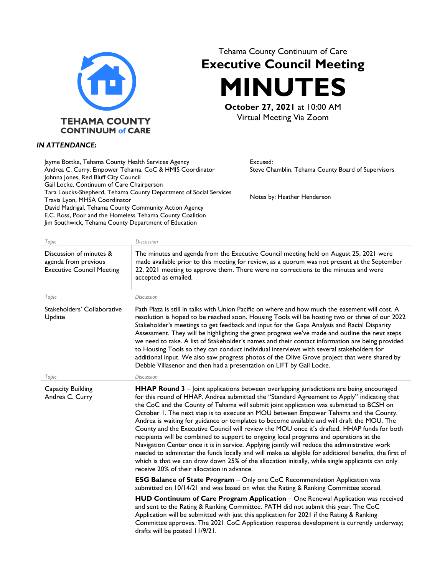

*IN ATTENDANCE:*

## Tehama County Continuum of Care **Executive Council Meeting MINUTES**

**October 27, 2021** at 10:00 AM Virtual Meeting Via Zoom

> Excused: Steve Chamblin, Tehama County Board of Supervisors

Notes by: Heather Henderson

## Jayme Bottke, Tehama County Health Services Agency Andrea C. Curry, Empower Tehama, CoC & HMIS Coordinator Johnna Jones, Red Bluff City Council Gail Locke, Continuum of Care Chairperson Tara Loucks-Shepherd, Tehama County Department of Social Services Travis Lyon, MHSA Coordinator David Madrigal, Tehama County Community Action Agency E.C. Ross, Poor and the Homeless Tehama County Coalition Jim Southwick, Tehama County Department of Education

| Topic                                                                               | <b>Discussion</b>                                                                                                                                                                                                                                                                                                                                                                                                                                                                                                                                                                                                                                                                                                                                                                                                                                                                                                                                                                                                                      |
|-------------------------------------------------------------------------------------|----------------------------------------------------------------------------------------------------------------------------------------------------------------------------------------------------------------------------------------------------------------------------------------------------------------------------------------------------------------------------------------------------------------------------------------------------------------------------------------------------------------------------------------------------------------------------------------------------------------------------------------------------------------------------------------------------------------------------------------------------------------------------------------------------------------------------------------------------------------------------------------------------------------------------------------------------------------------------------------------------------------------------------------|
| Discussion of minutes &<br>agenda from previous<br><b>Executive Council Meeting</b> | The minutes and agenda from the Executive Council meeting held on August 25, 2021 were<br>made available prior to this meeting for review, as a quorum was not present at the September<br>22, 2021 meeting to approve them. There were no corrections to the minutes and were<br>accepted as emailed.                                                                                                                                                                                                                                                                                                                                                                                                                                                                                                                                                                                                                                                                                                                                 |
| Topic                                                                               | <b>Discussion</b>                                                                                                                                                                                                                                                                                                                                                                                                                                                                                                                                                                                                                                                                                                                                                                                                                                                                                                                                                                                                                      |
| Stakeholders' Collaborative<br>Update                                               | Path Plaza is still in talks with Union Pacific on where and how much the easement will cost. A<br>resolution is hoped to be reached soon. Housing Tools will be hosting two or three of our 2022<br>Stakeholder's meetings to get feedback and input for the Gaps Analysis and Racial Disparity<br>Assessment. They will be highlighting the great progress we've made and outline the next steps<br>we need to take. A list of Stakeholder's names and their contact information are being provided<br>to Housing Tools so they can conduct individual interviews with several stakeholders for<br>additional input. We also saw progress photos of the Olive Grove project that were shared by<br>Debbie Villasenor and then had a presentation on LIFT by Gail Locke.                                                                                                                                                                                                                                                              |
| Topic                                                                               | <b>Discussion</b>                                                                                                                                                                                                                                                                                                                                                                                                                                                                                                                                                                                                                                                                                                                                                                                                                                                                                                                                                                                                                      |
| Capacity Building<br>Andrea C. Curry                                                | <b>HHAP Round 3</b> – Joint applications between overlapping jurisdictions are being encouraged<br>for this round of HHAP. Andrea submitted the "Standard Agreement to Apply" indicating that<br>the CoC and the County of Tehama will submit joint application was submitted to BCSH on<br>October 1. The next step is to execute an MOU between Empower Tehama and the County.<br>Andrea is waiting for guidance or templates to become available and will draft the MOU. The<br>County and the Executive Council will review the MOU once it's drafted. HHAP funds for both<br>recipients will be combined to support to ongoing local programs and operations at the<br>Navigation Center once it is in service. Applying jointly will reduce the administrative work<br>needed to administer the funds locally and will make us eligible for additional benefits, the first of<br>which is that we can draw down 25% of the allocation initially, while single applicants can only<br>receive 20% of their allocation in advance. |
|                                                                                     | <b>ESG Balance of State Program - Only one CoC Recommendation Application was</b><br>submitted on 10/14/21 and was based on what the Rating & Ranking Committee scored.                                                                                                                                                                                                                                                                                                                                                                                                                                                                                                                                                                                                                                                                                                                                                                                                                                                                |
|                                                                                     | HUD Continuum of Care Program Application - One Renewal Application was received<br>and sent to the Rating & Ranking Committee. PATH did not submit this year. The CoC<br>Application will be submitted with just this application for 2021 if the Rating & Ranking<br>Committee approves. The 2021 CoC Application response development is currently underway;<br>drafts will be posted 11/9/21.                                                                                                                                                                                                                                                                                                                                                                                                                                                                                                                                                                                                                                      |